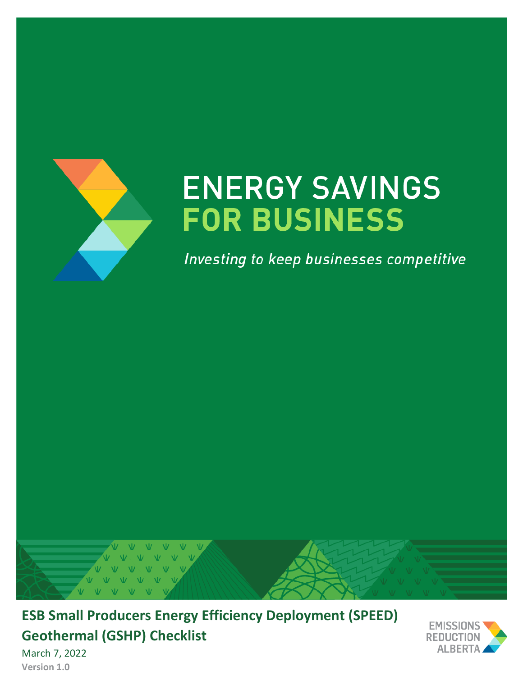

# **ENERGY SAVINGS FOR BUSINESS**

Investing to keep businesses competitive



**ESB Small Producers Energy Efficiency Deployment (SPEED) Geothermal (GSHP) Checklist**



March 7, 2022 **Version 1.0**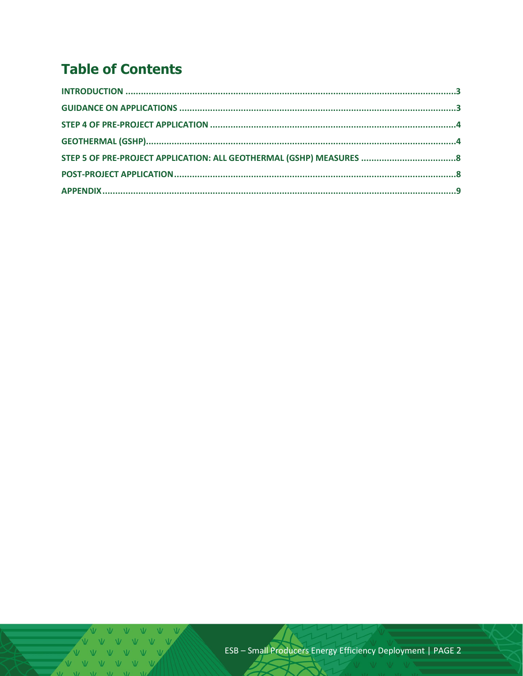# **Table of Contents**

V V V V V V V  $V$   $V$   $V$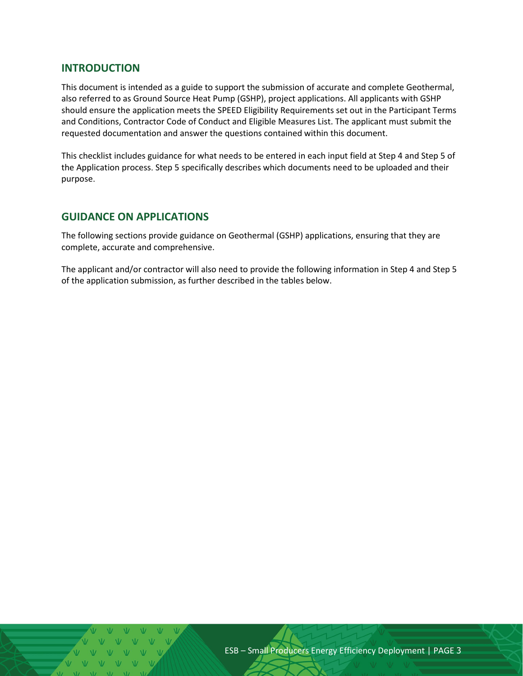#### <span id="page-2-0"></span>**INTRODUCTION**

This document is intended as a guide to support the submission of accurate and complete Geothermal, also referred to as Ground Source Heat Pump (GSHP), project applications. All applicants with GSHP should ensure the application meets the SPEED Eligibility Requirements set out in the Participant Terms and Conditions, Contractor Code of Conduct and Eligible Measures List. The applicant must submit the requested documentation and answer the questions contained within this document.

This checklist includes guidance for what needs to be entered in each input field at Step 4 and Step 5 of the Application process. Step 5 specifically describes which documents need to be uploaded and their purpose.

#### <span id="page-2-1"></span>**GUIDANCE ON APPLICATIONS**

The following sections provide guidance on Geothermal (GSHP) applications, ensuring that they are complete, accurate and comprehensive.

The applicant and/or contractor will also need to provide the following information in Step 4 and Step 5 of the application submission, as further described in the tables below.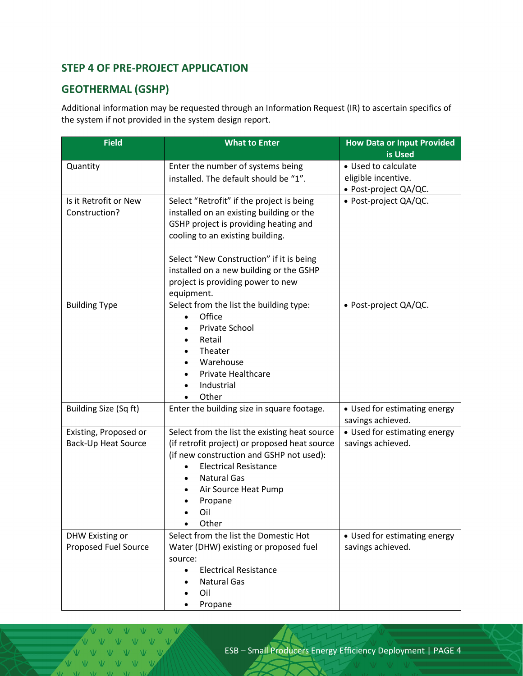# <span id="page-3-0"></span>**STEP 4 OF PRE-PROJECT APPLICATION**

# <span id="page-3-1"></span>**GEOTHERMAL (GSHP)**

Additional information may be requested through an Information Request (IR) to ascertain specifics of the system if not provided in the system design report.

| <b>Field</b>           | <b>What to Enter</b>                          | <b>How Data or Input Provided</b>                 |  |
|------------------------|-----------------------------------------------|---------------------------------------------------|--|
| Quantity               | Enter the number of systems being             | is Used<br>• Used to calculate                    |  |
|                        | installed. The default should be "1".         | eligible incentive.                               |  |
|                        |                                               | • Post-project QA/QC.                             |  |
| Is it Retrofit or New  | Select "Retrofit" if the project is being     | • Post-project QA/QC.                             |  |
| Construction?          | installed on an existing building or the      |                                                   |  |
|                        | GSHP project is providing heating and         |                                                   |  |
|                        | cooling to an existing building.              |                                                   |  |
|                        |                                               |                                                   |  |
|                        | Select "New Construction" if it is being      |                                                   |  |
|                        | installed on a new building or the GSHP       |                                                   |  |
|                        | project is providing power to new             |                                                   |  |
|                        | equipment.                                    |                                                   |  |
| <b>Building Type</b>   | Select from the list the building type:       | • Post-project QA/QC.                             |  |
|                        | Office                                        |                                                   |  |
|                        | Private School                                |                                                   |  |
|                        | Retail<br>$\bullet$                           |                                                   |  |
|                        | Theater<br>$\bullet$                          |                                                   |  |
|                        | Warehouse<br>٠                                |                                                   |  |
|                        | Private Healthcare                            |                                                   |  |
|                        | Industrial                                    |                                                   |  |
|                        | Other                                         |                                                   |  |
| Building Size (Sq ft)  | Enter the building size in square footage.    | • Used for estimating energy                      |  |
| Existing, Proposed or  | Select from the list the existing heat source | savings achieved.<br>• Used for estimating energy |  |
| Back-Up Heat Source    | (if retrofit project) or proposed heat source | savings achieved.                                 |  |
|                        | (if new construction and GSHP not used):      |                                                   |  |
|                        | <b>Electrical Resistance</b><br>$\bullet$     |                                                   |  |
|                        | <b>Natural Gas</b>                            |                                                   |  |
|                        | Air Source Heat Pump                          |                                                   |  |
|                        | Propane                                       |                                                   |  |
|                        | Oil                                           |                                                   |  |
|                        | Other                                         |                                                   |  |
| <b>DHW Existing or</b> | Select from the list the Domestic Hot         | • Used for estimating energy                      |  |
| Proposed Fuel Source   | Water (DHW) existing or proposed fuel         | savings achieved.                                 |  |
|                        | source:                                       |                                                   |  |
|                        | <b>Electrical Resistance</b><br>$\bullet$     |                                                   |  |
|                        | <b>Natural Gas</b>                            |                                                   |  |
|                        | Oil                                           |                                                   |  |
|                        | Propane                                       |                                                   |  |

 $N$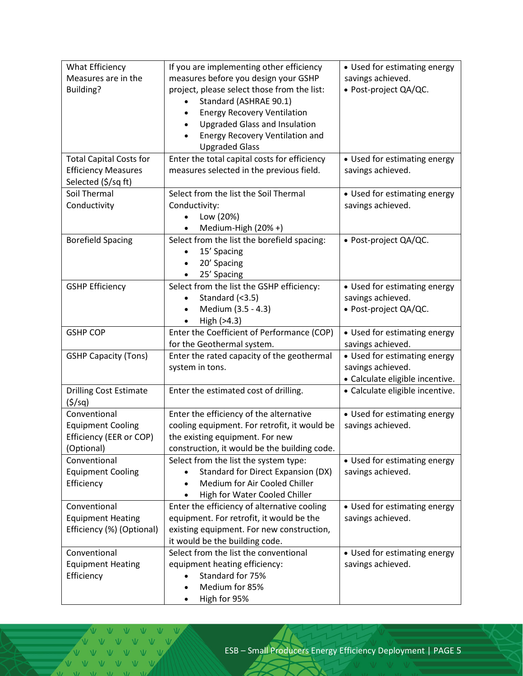| What Efficiency                | If you are implementing other efficiency     | • Used for estimating energy    |  |  |
|--------------------------------|----------------------------------------------|---------------------------------|--|--|
| Measures are in the            | measures before you design your GSHP         | savings achieved.               |  |  |
| Building?                      | project, please select those from the list:  | · Post-project QA/QC.           |  |  |
|                                | Standard (ASHRAE 90.1)                       |                                 |  |  |
|                                | <b>Energy Recovery Ventilation</b>           |                                 |  |  |
|                                | <b>Upgraded Glass and Insulation</b>         |                                 |  |  |
|                                | Energy Recovery Ventilation and              |                                 |  |  |
|                                | <b>Upgraded Glass</b>                        |                                 |  |  |
| <b>Total Capital Costs for</b> | Enter the total capital costs for efficiency | • Used for estimating energy    |  |  |
| <b>Efficiency Measures</b>     | measures selected in the previous field.     | savings achieved.               |  |  |
| Selected (\$/sq ft)            |                                              |                                 |  |  |
| Soil Thermal                   | Select from the list the Soil Thermal        | • Used for estimating energy    |  |  |
| Conductivity                   | Conductivity:                                | savings achieved.               |  |  |
|                                | Low (20%)                                    |                                 |  |  |
|                                | Medium-High (20% +)                          |                                 |  |  |
| <b>Borefield Spacing</b>       | Select from the list the borefield spacing:  | • Post-project QA/QC.           |  |  |
|                                | 15' Spacing                                  |                                 |  |  |
|                                | 20' Spacing                                  |                                 |  |  |
|                                | 25' Spacing                                  |                                 |  |  |
| <b>GSHP Efficiency</b>         | Select from the list the GSHP efficiency:    | • Used for estimating energy    |  |  |
|                                | Standard (<3.5)<br>$\bullet$                 | savings achieved.               |  |  |
|                                | Medium (3.5 - 4.3)                           | • Post-project QA/QC.           |  |  |
|                                | High (>4.3)                                  |                                 |  |  |
| <b>GSHP COP</b>                | Enter the Coefficient of Performance (COP)   | • Used for estimating energy    |  |  |
|                                | for the Geothermal system.                   | savings achieved.               |  |  |
| <b>GSHP Capacity (Tons)</b>    | Enter the rated capacity of the geothermal   | • Used for estimating energy    |  |  |
|                                | system in tons.                              | savings achieved.               |  |  |
|                                |                                              | · Calculate eligible incentive. |  |  |
| <b>Drilling Cost Estimate</b>  | Enter the estimated cost of drilling.        | • Calculate eligible incentive. |  |  |
| (5/sq)                         |                                              |                                 |  |  |
| Conventional                   | Enter the efficiency of the alternative      | • Used for estimating energy    |  |  |
| <b>Equipment Cooling</b>       | cooling equipment. For retrofit, it would be | savings achieved.               |  |  |
| Efficiency (EER or COP)        | the existing equipment. For new              |                                 |  |  |
| (Optional)                     | construction, it would be the building code. |                                 |  |  |
| Conventional                   | Select from the list the system type:        | • Used for estimating energy    |  |  |
| <b>Equipment Cooling</b>       | <b>Standard for Direct Expansion (DX)</b>    | savings achieved.               |  |  |
| Efficiency                     | Medium for Air Cooled Chiller<br>$\bullet$   |                                 |  |  |
|                                | High for Water Cooled Chiller                |                                 |  |  |
| Conventional                   | Enter the efficiency of alternative cooling  | • Used for estimating energy    |  |  |
| <b>Equipment Heating</b>       | equipment. For retrofit, it would be the     | savings achieved.               |  |  |
| Efficiency (%) (Optional)      | existing equipment. For new construction,    |                                 |  |  |
|                                | it would be the building code.               |                                 |  |  |
| Conventional                   | Select from the list the conventional        | • Used for estimating energy    |  |  |
| <b>Equipment Heating</b>       | equipment heating efficiency:                | savings achieved.               |  |  |
| Efficiency                     | Standard for 75%                             |                                 |  |  |
|                                | Medium for 85%                               |                                 |  |  |
|                                | High for 95%                                 |                                 |  |  |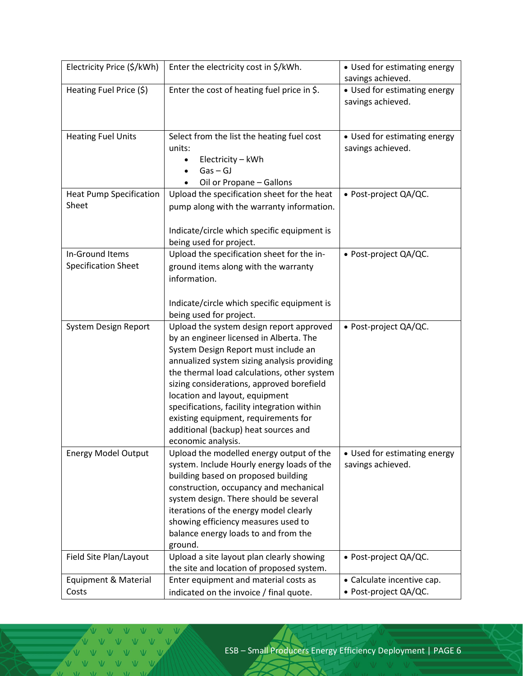| Electricity Price (\$/kWh)                    | Enter the electricity cost in \$/kWh.                                                                                                                                                                                                                                                                                                                                                                                                                                                    | • Used for estimating energy<br>savings achieved.   |  |
|-----------------------------------------------|------------------------------------------------------------------------------------------------------------------------------------------------------------------------------------------------------------------------------------------------------------------------------------------------------------------------------------------------------------------------------------------------------------------------------------------------------------------------------------------|-----------------------------------------------------|--|
| Heating Fuel Price (\$)                       | Enter the cost of heating fuel price in \$.                                                                                                                                                                                                                                                                                                                                                                                                                                              | • Used for estimating energy<br>savings achieved.   |  |
| <b>Heating Fuel Units</b>                     | Select from the list the heating fuel cost<br>units:<br>Electricity - kWh<br>$\bullet$<br>$Gas - GJ$<br>$\bullet$<br>Oil or Propane - Gallons                                                                                                                                                                                                                                                                                                                                            | • Used for estimating energy<br>savings achieved.   |  |
| <b>Heat Pump Specification</b><br>Sheet       | Upload the specification sheet for the heat<br>pump along with the warranty information.<br>Indicate/circle which specific equipment is                                                                                                                                                                                                                                                                                                                                                  | • Post-project QA/QC.                               |  |
| In-Ground Items<br><b>Specification Sheet</b> | being used for project.<br>Upload the specification sheet for the in-<br>ground items along with the warranty<br>information.<br>Indicate/circle which specific equipment is                                                                                                                                                                                                                                                                                                             | • Post-project QA/QC.                               |  |
| System Design Report                          | being used for project.<br>Upload the system design report approved<br>by an engineer licensed in Alberta. The<br>System Design Report must include an<br>annualized system sizing analysis providing<br>the thermal load calculations, other system<br>sizing considerations, approved borefield<br>location and layout, equipment<br>specifications, facility integration within<br>existing equipment, requirements for<br>additional (backup) heat sources and<br>economic analysis. | • Post-project QA/QC.                               |  |
| <b>Energy Model Output</b>                    | Upload the modelled energy output of the<br>system. Include Hourly energy loads of the<br>building based on proposed building<br>construction, occupancy and mechanical<br>system design. There should be several<br>iterations of the energy model clearly<br>showing efficiency measures used to<br>balance energy loads to and from the<br>ground.                                                                                                                                    | • Used for estimating energy<br>savings achieved.   |  |
| Field Site Plan/Layout                        | Upload a site layout plan clearly showing<br>the site and location of proposed system.                                                                                                                                                                                                                                                                                                                                                                                                   | • Post-project QA/QC.                               |  |
| Equipment & Material<br>Costs                 | Enter equipment and material costs as<br>indicated on the invoice / final quote.                                                                                                                                                                                                                                                                                                                                                                                                         | • Calculate incentive cap.<br>• Post-project QA/QC. |  |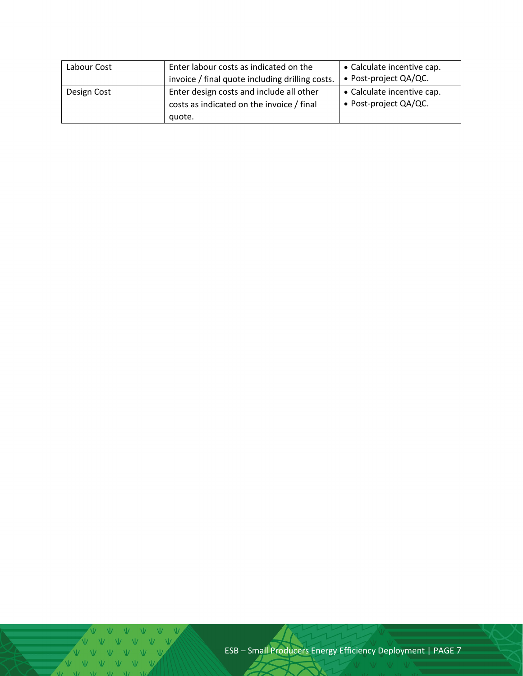| Labour Cost | Enter labour costs as indicated on the<br>invoice / final quote including drilling costs.       | • Calculate incentive cap.<br>• Post-project QA/QC. |  |
|-------------|-------------------------------------------------------------------------------------------------|-----------------------------------------------------|--|
| Design Cost | Enter design costs and include all other<br>costs as indicated on the invoice / final<br>quote. | • Calculate incentive cap.<br>• Post-project QA/QC. |  |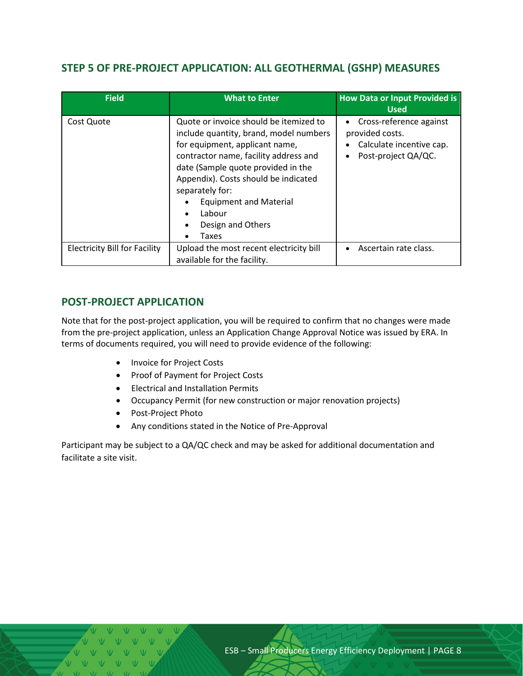## <span id="page-7-0"></span>**STEP 5 OF PRE-PROJECT APPLICATION: ALL GEOTHERMAL (GSHP) MEASURES**

| <b>Field</b>                         | <b>What to Enter</b>                                                                                                                                                                                                                                                                                                                               | <b>How Data or Input Provided is</b><br><b>Used</b>                                                                     |
|--------------------------------------|----------------------------------------------------------------------------------------------------------------------------------------------------------------------------------------------------------------------------------------------------------------------------------------------------------------------------------------------------|-------------------------------------------------------------------------------------------------------------------------|
| Cost Quote                           | Quote or invoice should be itemized to<br>include quantity, brand, model numbers<br>for equipment, applicant name,<br>contractor name, facility address and<br>date (Sample quote provided in the<br>Appendix). Costs should be indicated<br>separately for:<br><b>Equipment and Material</b><br>Labour<br>$\bullet$<br>Design and Others<br>Taxes | Cross-reference against<br>$\bullet$<br>provided costs.<br>Calculate incentive cap.<br>Post-project QA/QC.<br>$\bullet$ |
| <b>Electricity Bill for Facility</b> | Upload the most recent electricity bill<br>available for the facility.                                                                                                                                                                                                                                                                             | Ascertain rate class.                                                                                                   |

### <span id="page-7-1"></span>**POST-PROJECT APPLICATION**

Note that for the post-project application, you will be required to confirm that no changes were made from the pre-project application, unless an Application Change Approval Notice was issued by ERA. In terms of documents required, you will need to provide evidence of the following:

- Invoice for Project Costs
- Proof of Payment for Project Costs
- Electrical and Installation Permits
- Occupancy Permit (for new construction or major renovation projects)
- Post-Project Photo
- Any conditions stated in the Notice of Pre-Approval

Participant may be subject to a QA/QC check and may be asked for additional documentation and facilitate a site visit.